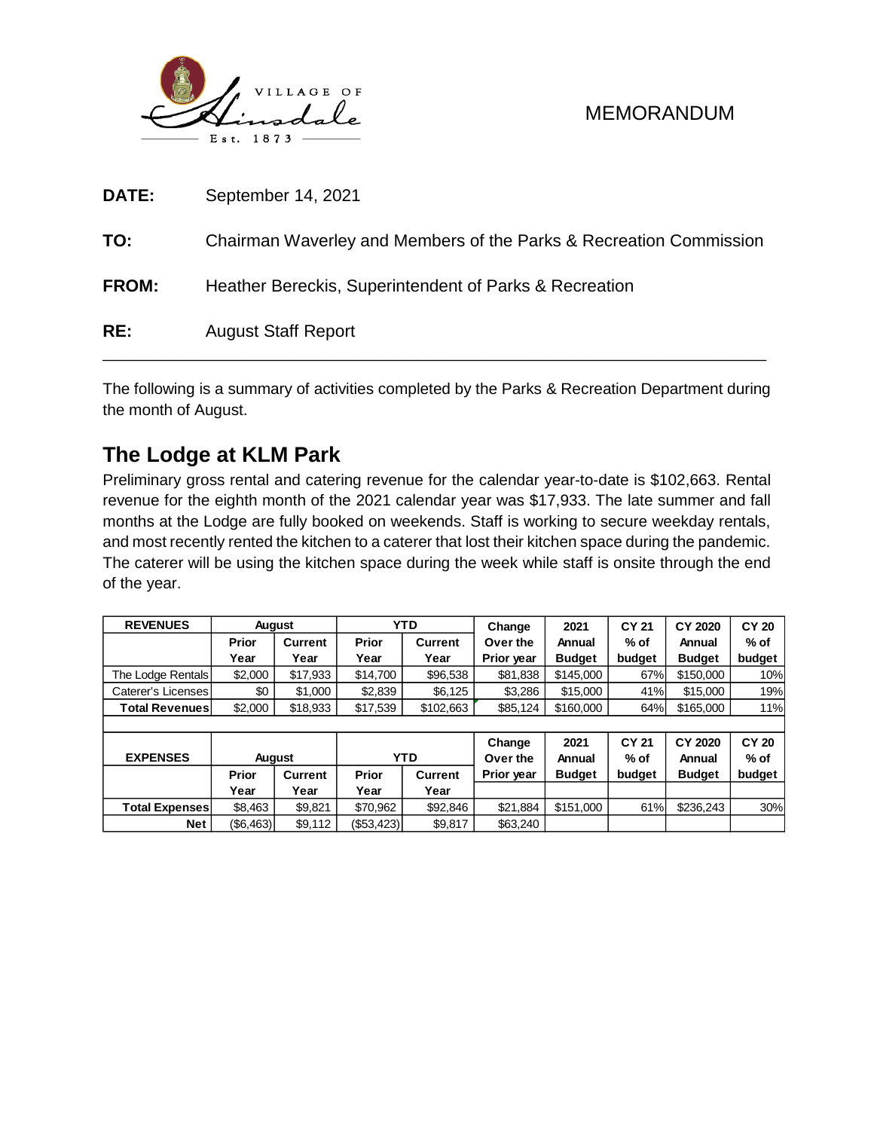

| RE:   | <b>August Staff Report</b>                                         |
|-------|--------------------------------------------------------------------|
| FROM: | Heather Bereckis, Superintendent of Parks & Recreation             |
| TO:   | Chairman Waverley and Members of the Parks & Recreation Commission |
| DATE: | September 14, 2021                                                 |

The following is a summary of activities completed by the Parks & Recreation Department during the month of August.

## **The Lodge at KLM Park**

Preliminary gross rental and catering revenue for the calendar year-to-date is \$102,663. Rental revenue for the eighth month of the 2021 calendar year was \$17,933. The late summer and fall months at the Lodge are fully booked on weekends. Staff is working to secure weekday rentals, and most recently rented the kitchen to a caterer that lost their kitchen space during the pandemic. The caterer will be using the kitchen space during the week while staff is onsite through the end of the year.

| <b>REVENUES</b>       | <b>August</b> |            |          | <b>YTD</b>         | Change                   | 2021                | <b>CY 21</b>                | CY 2020              | <b>CY 20</b> |  |
|-----------------------|---------------|------------|----------|--------------------|--------------------------|---------------------|-----------------------------|----------------------|--------------|--|
|                       | Prior         | Current    | Prior    | <b>Current</b>     | Over the                 | Annual              | % of                        | Annual               | $%$ of       |  |
|                       | Year          | Year       | Year     | Year               | Prior year               | <b>Budget</b>       | budget                      | <b>Budget</b>        | budget       |  |
| The Lodge Rentals     | \$2,000       | \$17,933   | \$14,700 | \$96,538           | \$81,838                 | \$145,000           | 67%                         | \$150,000            | 10%          |  |
| Caterer's Licenses    | \$0           | \$1.000    | \$2,839  | \$6,125            | \$3.286                  | \$15,000            | 41%                         | \$15,000             | 19%          |  |
| <b>Total Revenues</b> | \$2,000       | \$18,933   | \$17,539 | \$102,663          |                          | \$160,000           | 64%                         | \$165,000            | 11%          |  |
|                       |               |            |          |                    |                          |                     |                             |                      |              |  |
| <b>EVDEMCEC</b><br>A  |               | <b>VTN</b> |          | Change<br>$Q_{11}$ | 2021<br>A <sub>min</sub> | <b>CY 21</b><br>0/1 | CY 2020<br>A <sub>max</sub> | <b>CY 20</b><br>0/10 |              |  |

|                       |            |                |            |                | -------           | ----          | - - - - | - . - <b>. .</b> | - - -  |
|-----------------------|------------|----------------|------------|----------------|-------------------|---------------|---------|------------------|--------|
| <b>EXPENSES</b>       | Auaust     |                |            | YTD            | Over the          | Annual        | % of    | Annual           | % of   |
|                       | Prior      | <b>Current</b> | Prior      | <b>Current</b> | <b>Prior vear</b> | <b>Budget</b> | budaet  | <b>Budget</b>    | budget |
|                       | Year       | Year           | Year       | Year           |                   |               |         |                  |        |
| <b>Total Expenses</b> | \$8.463    | \$9.821        | \$70.962   | \$92.846       | \$21.884          | \$151,000     | 61%     | \$236.243        | 30%    |
| <b>Net</b>            | ( \$6,463) | \$9.112        | (\$53,423) | \$9.817        | \$63,240          |               |         |                  |        |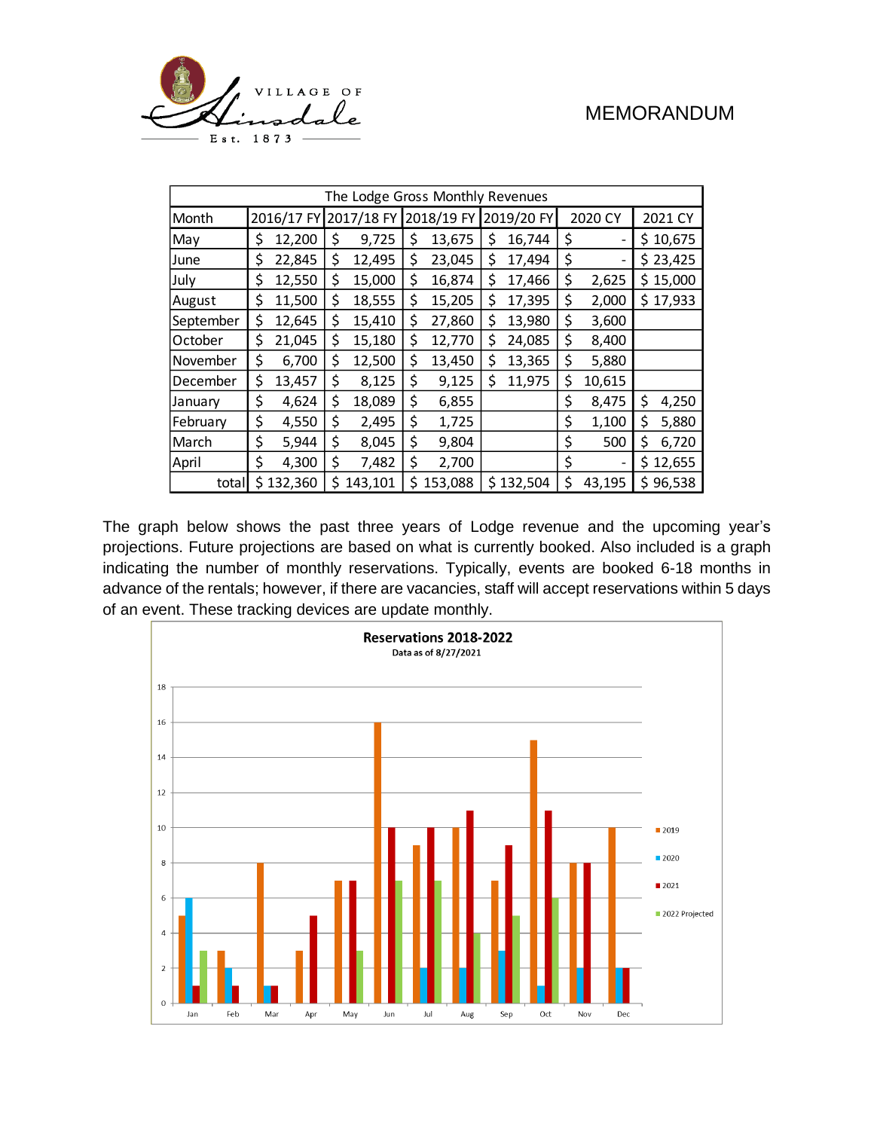

| The Lodge Gross Monthly Revenues |    |            |    |            |    |            |            |           |         |        |    |          |
|----------------------------------|----|------------|----|------------|----|------------|------------|-----------|---------|--------|----|----------|
| Month                            |    | 2016/17 FY |    | 2017/18 FY |    | 2018/19 FY | 2019/20 FY |           | 2020 CY |        |    | 2021 CY  |
| May                              | \$ | 12,200     | \$ | 9,725      | \$ | 13,675     | \$         | 16,744    | \$      |        |    | \$10,675 |
| June                             | \$ | 22,845     | \$ | 12,495     | \$ | 23,045     | \$         | 17,494    | \$      |        |    | \$23,425 |
| July                             | \$ | 12,550     | \$ | 15,000     | \$ | 16,874     | \$         | 17,466    | \$      | 2,625  |    | \$15,000 |
| August                           | \$ | 11,500     | \$ | 18,555     | \$ | 15,205     | \$         | 17,395    | \$      | 2,000  |    | \$17,933 |
| September                        | \$ | 12,645     | \$ | 15,410     | \$ | 27,860     | \$         | 13,980    | \$      | 3,600  |    |          |
| October                          | \$ | 21,045     | \$ | 15,180     | \$ | 12,770     | \$         | 24,085    | \$      | 8,400  |    |          |
| November                         | \$ | 6,700      | \$ | 12,500     | \$ | 13,450     | \$         | 13,365    | \$      | 5,880  |    |          |
| December                         | \$ | 13,457     | \$ | 8,125      | \$ | 9,125      | \$         | 11,975    | \$      | 10,615 |    |          |
| January                          | \$ | 4,624      | \$ | 18,089     | \$ | 6,855      |            |           | \$      | 8,475  | \$ | 4,250    |
| February                         | \$ | 4,550      | \$ | 2,495      | \$ | 1,725      |            |           | \$      | 1,100  | \$ | 5,880    |
| March                            | \$ | 5,944      | \$ | 8,045      | \$ | 9,804      |            |           | \$      | 500    | \$ | 6,720    |
| April                            | \$ | 4,300      | \$ | 7,482      | \$ | 2,700      |            |           | \$      |        |    | \$12,655 |
| total                            |    | \$132,360  | Ś  | 143,101    | \$ | 153,088    |            | \$132,504 | \$      | 43,195 | \$ | 96,538   |

The graph below shows the past three years of Lodge revenue and the upcoming year's projections. Future projections are based on what is currently booked. Also included is a graph indicating the number of monthly reservations. Typically, events are booked 6-18 months in advance of the rentals; however, if there are vacancies, staff will accept reservations within 5 days of an event. These tracking devices are update monthly.

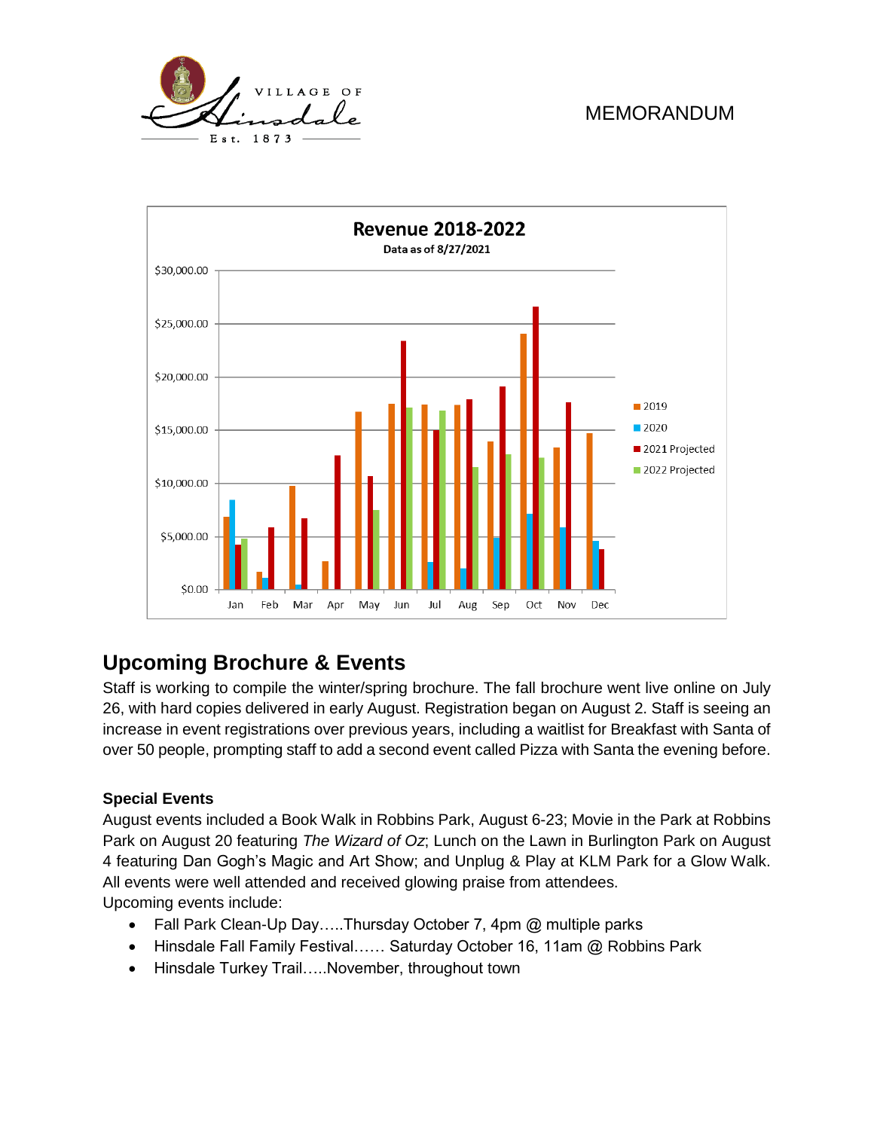



# **Upcoming Brochure & Events**

Staff is working to compile the winter/spring brochure. The fall brochure went live online on July 26, with hard copies delivered in early August. Registration began on August 2. Staff is seeing an increase in event registrations over previous years, including a waitlist for Breakfast with Santa of over 50 people, prompting staff to add a second event called Pizza with Santa the evening before.

#### **Special Events**

August events included a Book Walk in Robbins Park, August 6-23; Movie in the Park at Robbins Park on August 20 featuring *The Wizard of Oz*; Lunch on the Lawn in Burlington Park on August 4 featuring Dan Gogh's Magic and Art Show; and Unplug & Play at KLM Park for a Glow Walk. All events were well attended and received glowing praise from attendees. Upcoming events include:

- Fall Park Clean-Up Day.....Thursday October 7, 4pm @ multiple parks
- Hinsdale Fall Family Festival…… Saturday October 16, 11am @ Robbins Park
- Hinsdale Turkey Trail…..November, throughout town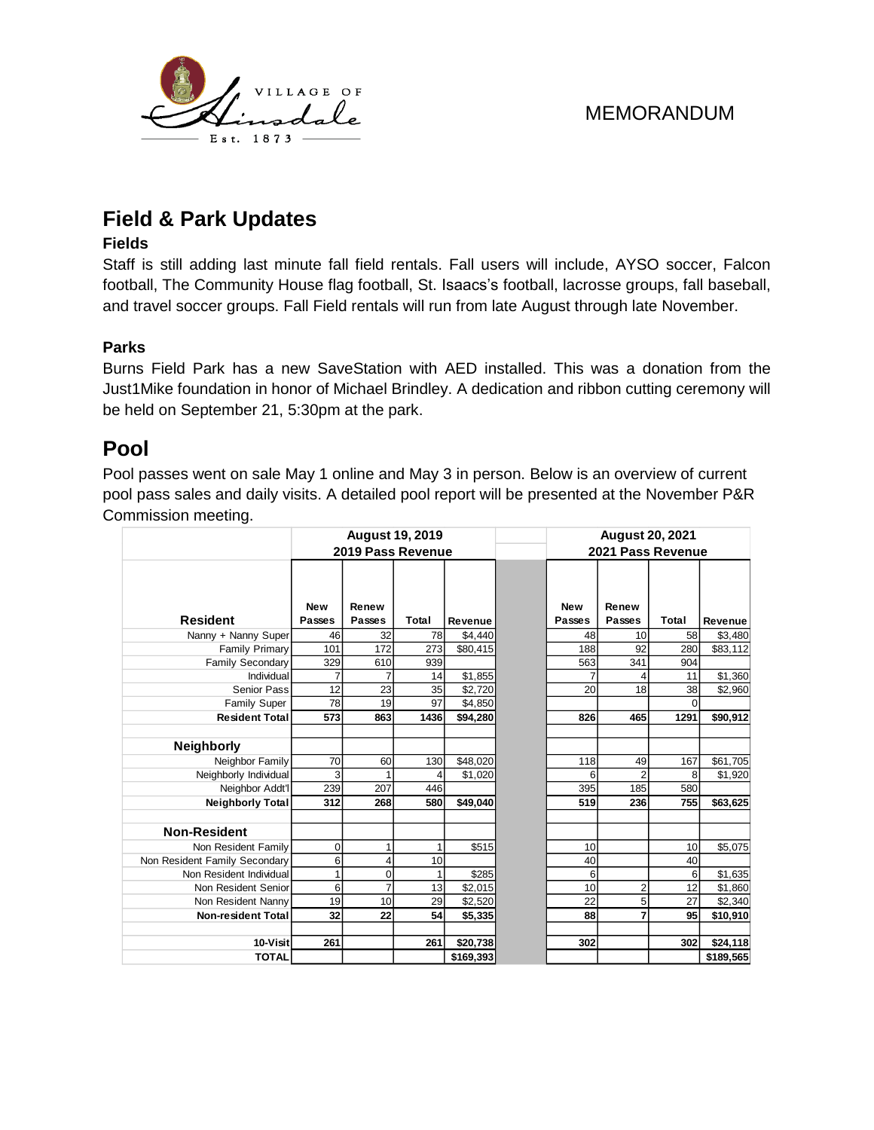

# **Field & Park Updates**

#### **Fields**

Staff is still adding last minute fall field rentals. Fall users will include, AYSO soccer, Falcon football, The Community House flag football, St. Isaacs's football, lacrosse groups, fall baseball, and travel soccer groups. Fall Field rentals will run from late August through late November.

#### **Parks**

Burns Field Park has a new SaveStation with AED installed. This was a donation from the Just1Mike foundation in honor of Michael Brindley. A dedication and ribbon cutting ceremony will be held on September 21, 5:30pm at the park.

### **Pool**

Pool passes went on sale May 1 online and May 3 in person. Below is an overview of current pool pass sales and daily visits. A detailed pool report will be presented at the November P&R Commission meeting.

|                               |                      | <b>August 19, 2019</b> |       |           | <b>August 20, 2021</b> |                        |          |           |  |  |  |
|-------------------------------|----------------------|------------------------|-------|-----------|------------------------|------------------------|----------|-----------|--|--|--|
|                               |                      | 2019 Pass Revenue      |       |           | 2021 Pass Revenue      |                        |          |           |  |  |  |
| <b>Resident</b>               | <b>New</b><br>Passes | Renew<br><b>Passes</b> | Total | Revenue   | <b>New</b><br>Passes   | Renew<br><b>Passes</b> | Total    | Revenue   |  |  |  |
| Nanny + Nanny Super           | 46                   | 32                     | 78    | \$4,440   | 48                     | 10                     | 58       | \$3,480   |  |  |  |
| <b>Family Primary</b>         | 101                  | 172                    | 273   | \$80,415  | 188                    | 92                     | 280      | \$83,112  |  |  |  |
| <b>Family Secondary</b>       | 329                  | 610                    | 939   |           | 563                    | 341                    | 904      |           |  |  |  |
| Individual                    |                      |                        | 14    | \$1,855   |                        |                        | 11       | \$1,360   |  |  |  |
| Senior Pass                   | 12                   | 23                     | 35    | \$2,720   | 20                     | 18                     | 38       | \$2,960   |  |  |  |
| <b>Family Super</b>           | 78                   | 19                     | 97    | \$4,850   |                        |                        | $\Omega$ |           |  |  |  |
| <b>Resident Total</b>         | 573                  | 863                    | 1436  | \$94,280  | 826                    | 465                    | 1291     | \$90,912  |  |  |  |
|                               |                      |                        |       |           |                        |                        |          |           |  |  |  |
| <b>Neighborly</b>             |                      |                        |       |           |                        |                        |          |           |  |  |  |
| Neighbor Family               | 70                   | 60                     | 130   | \$48,020  | 118                    | 49                     | 167      | \$61,705  |  |  |  |
| Neighborly Individual         | 3                    |                        | 4     | \$1,020   | 6                      | $\overline{2}$         | 8        | \$1,920   |  |  |  |
| Neighbor Addt'l               | 239                  | 207                    | 446   |           | 395                    | 185                    | 580      |           |  |  |  |
| <b>Neighborly Total</b>       | 312                  | 268                    | 580   | \$49,040  | 519                    | 236                    | 755      | \$63,625  |  |  |  |
| <b>Non-Resident</b>           |                      |                        |       |           |                        |                        |          |           |  |  |  |
| Non Resident Family           | $\mathbf 0$          |                        |       | \$515     | 10                     |                        | 10       | \$5,075   |  |  |  |
| Non Resident Family Secondary | 6                    | 4                      | 10    |           | 40                     |                        | 40       |           |  |  |  |
| Non Resident Individual       |                      | $\mathbf 0$            |       | \$285     | 6                      |                        | 6        | \$1,635   |  |  |  |
| Non Resident Senior           | 6                    | 7                      | 13    | \$2,015   | 10                     | $\overline{2}$         | 12       | \$1,860   |  |  |  |
| Non Resident Nanny            | 19                   | 10                     | 29    | \$2,520   | 22                     | 5                      | 27       | \$2,340   |  |  |  |
| <b>Non-resident Total</b>     | 32                   | 22                     | 54    | \$5,335   | 88                     | 7                      | 95       | \$10,910  |  |  |  |
| 10-Visit                      | 261                  |                        | 261   | \$20,738  | 302                    |                        | 302      | \$24,118  |  |  |  |
| <b>TOTAL</b>                  |                      |                        |       | \$169,393 |                        |                        |          | \$189,565 |  |  |  |